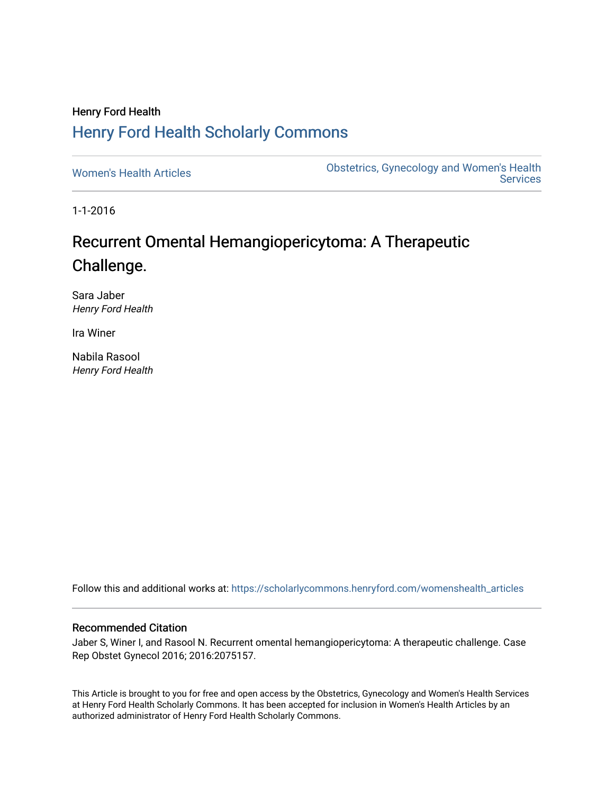# Henry Ford Health [Henry Ford Health Scholarly Commons](https://scholarlycommons.henryford.com/)

[Women's Health Articles](https://scholarlycommons.henryford.com/womenshealth_articles) **Constructed Articles** Obstetrics, Gynecology and Women's Health **Services** 

1-1-2016

# Recurrent Omental Hemangiopericytoma: A Therapeutic Challenge.

Sara Jaber Henry Ford Health

Ira Winer

Nabila Rasool Henry Ford Health

Follow this and additional works at: [https://scholarlycommons.henryford.com/womenshealth\\_articles](https://scholarlycommons.henryford.com/womenshealth_articles?utm_source=scholarlycommons.henryford.com%2Fwomenshealth_articles%2F44&utm_medium=PDF&utm_campaign=PDFCoverPages) 

### Recommended Citation

Jaber S, Winer I, and Rasool N. Recurrent omental hemangiopericytoma: A therapeutic challenge. Case Rep Obstet Gynecol 2016; 2016:2075157.

This Article is brought to you for free and open access by the Obstetrics, Gynecology and Women's Health Services at Henry Ford Health Scholarly Commons. It has been accepted for inclusion in Women's Health Articles by an authorized administrator of Henry Ford Health Scholarly Commons.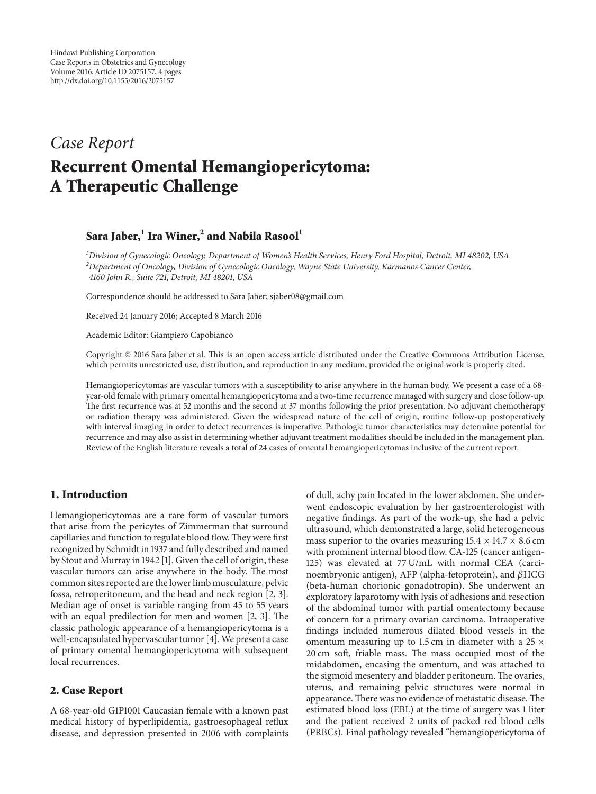# *Case Report* **Recurrent Omental Hemangiopericytoma: A Therapeutic Challenge**

## **Sara Jaber,**<sup>1</sup> **Ira Winer,**<sup>2</sup> **and Nabila Rasool**<sup>1</sup>

*1 Division of Gynecologic Oncology, Department of Women's Health Services, Henry Ford Hospital, Detroit, MI 48202, USA 2 Department of Oncology, Division of Gynecologic Oncology, Wayne State University, Karmanos Cancer Center, 4160 John R., Suite 721, Detroit, MI 48201, USA*

Correspondence should be addressed to Sara Jaber; sjaber08@gmail.com

Received 24 January 2016; Accepted 8 March 2016

Academic Editor: Giampiero Capobianco

Copyright © 2016 Sara Jaber et al. This is an open access article distributed under the Creative Commons Attribution License, which permits unrestricted use, distribution, and reproduction in any medium, provided the original work is properly cited.

Hemangiopericytomas are vascular tumors with a susceptibility to arise anywhere in the human body. We present a case of a 68 year-old female with primary omental hemangiopericytoma and a two-time recurrence managed with surgery and close follow-up. The first recurrence was at 52 months and the second at 37 months following the prior presentation. No adjuvant chemotherapy or radiation therapy was administered. Given the widespread nature of the cell of origin, routine follow-up postoperatively with interval imaging in order to detect recurrences is imperative. Pathologic tumor characteristics may determine potential for recurrence and may also assist in determining whether adjuvant treatment modalities should be included in the management plan. Review of the English literature reveals a total of 24 cases of omental hemangiopericytomas inclusive of the current report.

### **1. Introduction**

Hemangiopericytomas are a rare form of vascular tumors that arise from the pericytes of Zimmerman that surround capillaries and function to regulate blood flow.They were first recognized by Schmidt in 1937 and fully described and named by Stout and Murray in 1942 [1]. Given the cell of origin, these vascular tumors can arise anywhere in the body. The most common sites reported are the lower limb musculature, pelvic fossa, retroperitoneum, and the head and neck region [2, 3]. Median age of onset is variable ranging from 45 to 55 years with an equal predilection for men and women [2, 3]. The classic pathologic appearance of a hemangiopericytoma is a well-encapsulated hypervascular tumor [4].We present a case of primary omental hemangiopericytoma with subsequent local recurrences.

#### **2. Case Report**

A 68-year-old G1P1001 Caucasian female with a known past medical history of hyperlipidemia, gastroesophageal reflux disease, and depression presented in 2006 with complaints of dull, achy pain located in the lower abdomen. She underwent endoscopic evaluation by her gastroenterologist with negative findings. As part of the work-up, she had a pelvic ultrasound, which demonstrated a large, solid heterogeneous mass superior to the ovaries measuring  $15.4 \times 14.7 \times 8.6$  cm with prominent internal blood flow. CA-125 (cancer antigen-125) was elevated at 77 U/mL with normal CEA (carcinoembryonic antigen), AFP (alpha-fetoprotein), and  $\beta$ HCG (beta-human chorionic gonadotropin). She underwent an exploratory laparotomy with lysis of adhesions and resection of the abdominal tumor with partial omentectomy because of concern for a primary ovarian carcinoma. Intraoperative findings included numerous dilated blood vessels in the omentum measuring up to 1.5 cm in diameter with a 25  $\times$ 20 cm soft, friable mass. The mass occupied most of the midabdomen, encasing the omentum, and was attached to the sigmoid mesentery and bladder peritoneum. The ovaries, uterus, and remaining pelvic structures were normal in appearance. There was no evidence of metastatic disease. The estimated blood loss (EBL) at the time of surgery was 1 liter and the patient received 2 units of packed red blood cells (PRBCs). Final pathology revealed "hemangiopericytoma of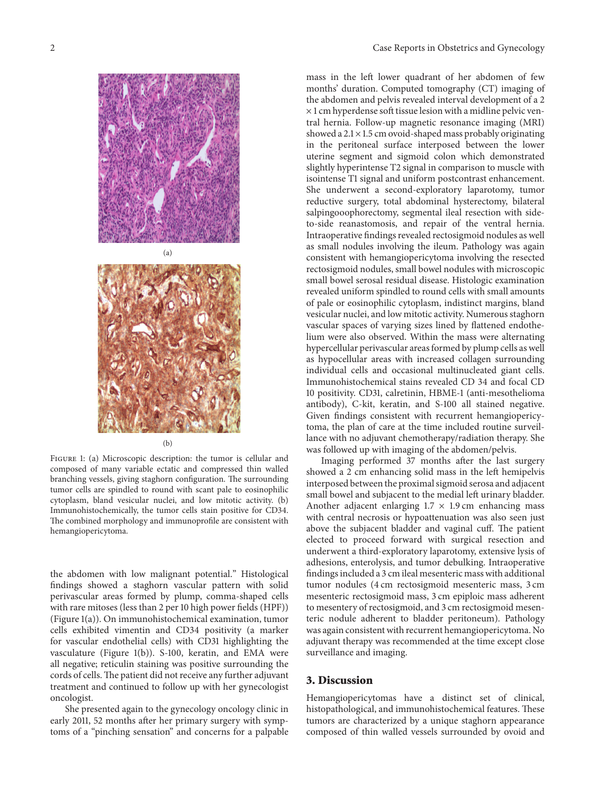



 $(b)$ 

Figure 1: (a) Microscopic description: the tumor is cellular and composed of many variable ectatic and compressed thin walled branching vessels, giving staghorn configuration. The surrounding tumor cells are spindled to round with scant pale to eosinophilic cytoplasm, bland vesicular nuclei, and low mitotic activity. (b) Immunohistochemically, the tumor cells stain positive for CD34. The combined morphology and immunoprofile are consistent with hemangiopericytoma.

the abdomen with low malignant potential." Histological findings showed a staghorn vascular pattern with solid perivascular areas formed by plump, comma-shaped cells with rare mitoses (less than 2 per 10 high power fields (HPF)) (Figure 1(a)). On immunohistochemical examination, tumor cells exhibited vimentin and CD34 positivity (a marker for vascular endothelial cells) with CD31 highlighting the vasculature (Figure 1(b)). S-100, keratin, and EMA were all negative; reticulin staining was positive surrounding the cords of cells.The patient did not receive any further adjuvant treatment and continued to follow up with her gynecologist oncologist.

She presented again to the gynecology oncology clinic in early 2011, 52 months after her primary surgery with symptoms of a "pinching sensation" and concerns for a palpable mass in the left lower quadrant of her abdomen of few months' duration. Computed tomography (CT) imaging of the abdomen and pelvis revealed interval development of a 2  $\times$  1 cm hyperdense soft tissue lesion with a midline pelvic ventral hernia. Follow-up magnetic resonance imaging (MRI) showed a 2.1 × 1.5 cm ovoid-shaped mass probably originating in the peritoneal surface interposed between the lower uterine segment and sigmoid colon which demonstrated slightly hyperintense T2 signal in comparison to muscle with isointense T1 signal and uniform postcontrast enhancement. She underwent a second-exploratory laparotomy, tumor reductive surgery, total abdominal hysterectomy, bilateral salpingooophorectomy, segmental ileal resection with sideto-side reanastomosis, and repair of the ventral hernia. Intraoperative findings revealed rectosigmoid nodules as well as small nodules involving the ileum. Pathology was again consistent with hemangiopericytoma involving the resected rectosigmoid nodules, small bowel nodules with microscopic small bowel serosal residual disease. Histologic examination revealed uniform spindled to round cells with small amounts of pale or eosinophilic cytoplasm, indistinct margins, bland vesicular nuclei, and low mitotic activity. Numerous staghorn vascular spaces of varying sizes lined by flattened endothelium were also observed. Within the mass were alternating hypercellular perivascular areas formed by plump cells as well as hypocellular areas with increased collagen surrounding individual cells and occasional multinucleated giant cells. Immunohistochemical stains revealed CD 34 and focal CD 10 positivity. CD31, calretinin, HBME-1 (anti-mesothelioma antibody), C-kit, keratin, and S-100 all stained negative. Given findings consistent with recurrent hemangiopericytoma, the plan of care at the time included routine surveillance with no adjuvant chemotherapy/radiation therapy. She was followed up with imaging of the abdomen/pelvis.

Imaging performed 37 months after the last surgery showed a 2 cm enhancing solid mass in the left hemipelvis interposed between the proximal sigmoid serosa and adjacent small bowel and subjacent to the medial left urinary bladder. Another adjacent enlarging  $1.7 \times 1.9$  cm enhancing mass with central necrosis or hypoattenuation was also seen just above the subjacent bladder and vaginal cuff. The patient elected to proceed forward with surgical resection and underwent a third-exploratory laparotomy, extensive lysis of adhesions, enterolysis, and tumor debulking. Intraoperative findings included a 3 cm ileal mesenteric mass with additional tumor nodules (4 cm rectosigmoid mesenteric mass, 3 cm mesenteric rectosigmoid mass, 3 cm epiploic mass adherent to mesentery of rectosigmoid, and 3 cm rectosigmoid mesenteric nodule adherent to bladder peritoneum). Pathology was again consistent with recurrent hemangiopericytoma. No adjuvant therapy was recommended at the time except close surveillance and imaging.

#### **3. Discussion**

Hemangiopericytomas have a distinct set of clinical, histopathological, and immunohistochemical features. These tumors are characterized by a unique staghorn appearance composed of thin walled vessels surrounded by ovoid and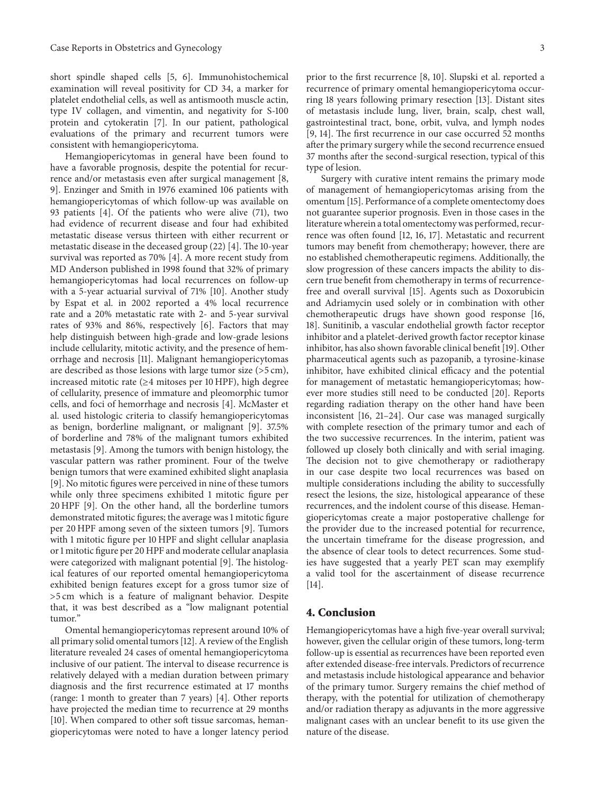short spindle shaped cells [5, 6]. Immunohistochemical examination will reveal positivity for CD 34, a marker for platelet endothelial cells, as well as antismooth muscle actin, type IV collagen, and vimentin, and negativity for S-100 protein and cytokeratin [7]. In our patient, pathological evaluations of the primary and recurrent tumors were consistent with hemangiopericytoma.

Hemangiopericytomas in general have been found to have a favorable prognosis, despite the potential for recurrence and/or metastasis even after surgical management [8, 9]. Enzinger and Smith in 1976 examined 106 patients with hemangiopericytomas of which follow-up was available on 93 patients [4]. Of the patients who were alive (71), two had evidence of recurrent disease and four had exhibited metastatic disease versus thirteen with either recurrent or metastatic disease in the deceased group (22) [4]. The 10-year survival was reported as 70% [4]. A more recent study from MD Anderson published in 1998 found that 32% of primary hemangiopericytomas had local recurrences on follow-up with a 5-year actuarial survival of 71% [10]. Another study by Espat et al. in 2002 reported a 4% local recurrence rate and a 20% metastatic rate with 2- and 5-year survival rates of 93% and 86%, respectively [6]. Factors that may help distinguish between high-grade and low-grade lesions include cellularity, mitotic activity, and the presence of hemorrhage and necrosis [11]. Malignant hemangiopericytomas are described as those lesions with large tumor size (>5 cm), increased mitotic rate (≥4 mitoses per 10 HPF), high degree of cellularity, presence of immature and pleomorphic tumor cells, and foci of hemorrhage and necrosis [4]. McMaster et al. used histologic criteria to classify hemangiopericytomas as benign, borderline malignant, or malignant [9]. 37.5% of borderline and 78% of the malignant tumors exhibited metastasis [9]. Among the tumors with benign histology, the vascular pattern was rather prominent. Four of the twelve benign tumors that were examined exhibited slight anaplasia [9]. No mitotic figures were perceived in nine of these tumors while only three specimens exhibited 1 mitotic figure per 20 HPF [9]. On the other hand, all the borderline tumors demonstrated mitotic figures; the average was 1 mitotic figure per 20 HPF among seven of the sixteen tumors [9]. Tumors with 1 mitotic figure per 10 HPF and slight cellular anaplasia or 1 mitotic figure per 20 HPF and moderate cellular anaplasia were categorized with malignant potential [9]. The histological features of our reported omental hemangiopericytoma exhibited benign features except for a gross tumor size of >5 cm which is a feature of malignant behavior. Despite that, it was best described as a "low malignant potential tumor."

Omental hemangiopericytomas represent around 10% of all primary solid omental tumors [12]. A review of the English literature revealed 24 cases of omental hemangiopericytoma inclusive of our patient. The interval to disease recurrence is relatively delayed with a median duration between primary diagnosis and the first recurrence estimated at 17 months (range: 1 month to greater than 7 years) [4]. Other reports have projected the median time to recurrence at 29 months [10]. When compared to other soft tissue sarcomas, hemangiopericytomas were noted to have a longer latency period

prior to the first recurrence [8, 10]. Slupski et al. reported a recurrence of primary omental hemangiopericytoma occurring 18 years following primary resection [13]. Distant sites of metastasis include lung, liver, brain, scalp, chest wall, gastrointestinal tract, bone, orbit, vulva, and lymph nodes [9, 14]. The first recurrence in our case occurred 52 months after the primary surgery while the second recurrence ensued 37 months after the second-surgical resection, typical of this type of lesion.

Surgery with curative intent remains the primary mode of management of hemangiopericytomas arising from the omentum [15]. Performance of a complete omentectomy does not guarantee superior prognosis. Even in those cases in the literature wherein a total omentectomy was performed, recurrence was often found [12, 16, 17]. Metastatic and recurrent tumors may benefit from chemotherapy; however, there are no established chemotherapeutic regimens. Additionally, the slow progression of these cancers impacts the ability to discern true benefit from chemotherapy in terms of recurrencefree and overall survival [15]. Agents such as Doxorubicin and Adriamycin used solely or in combination with other chemotherapeutic drugs have shown good response [16, 18]. Sunitinib, a vascular endothelial growth factor receptor inhibitor and a platelet-derived growth factor receptor kinase inhibitor, has also shown favorable clinical benefit [19]. Other pharmaceutical agents such as pazopanib, a tyrosine-kinase inhibitor, have exhibited clinical efficacy and the potential for management of metastatic hemangiopericytomas; however more studies still need to be conducted [20]. Reports regarding radiation therapy on the other hand have been inconsistent [16, 21–24]. Our case was managed surgically with complete resection of the primary tumor and each of the two successive recurrences. In the interim, patient was followed up closely both clinically and with serial imaging. The decision not to give chemotherapy or radiotherapy in our case despite two local recurrences was based on multiple considerations including the ability to successfully resect the lesions, the size, histological appearance of these recurrences, and the indolent course of this disease. Hemangiopericytomas create a major postoperative challenge for the provider due to the increased potential for recurrence, the uncertain timeframe for the disease progression, and the absence of clear tools to detect recurrences. Some studies have suggested that a yearly PET scan may exemplify a valid tool for the ascertainment of disease recurrence [14].

#### **4. Conclusion**

Hemangiopericytomas have a high five-year overall survival; however, given the cellular origin of these tumors, long-term follow-up is essential as recurrences have been reported even after extended disease-free intervals. Predictors of recurrence and metastasis include histological appearance and behavior of the primary tumor. Surgery remains the chief method of therapy, with the potential for utilization of chemotherapy and/or radiation therapy as adjuvants in the more aggressive malignant cases with an unclear benefit to its use given the nature of the disease.